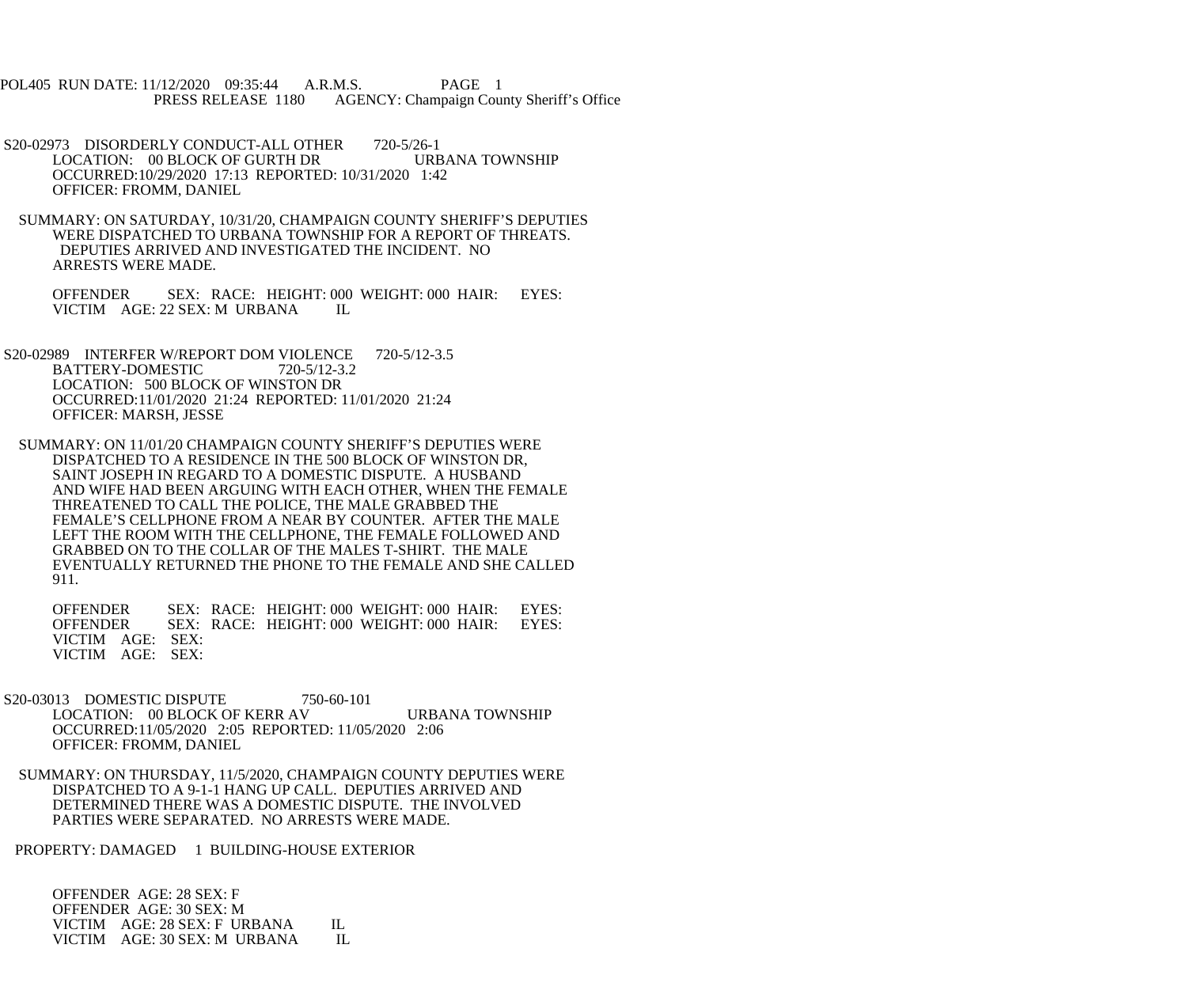POL405 RUN DATE: 11/12/2020 09:35:44 A.R.M.S. PAGE 1<br>PRESS RELEASE 1180 AGENCY: Champaign Cou AGENCY: Champaign County Sheriff's Office

S20-02973 DISORDERLY CONDUCT-ALL OTHER 720-5/26-1<br>LOCATION: 00 BLOCK OF GURTH DR URBANA TOWNSHIP LOCATION: 00 BLOCK OF GURTH DR OCCURRED:10/29/2020 17:13 REPORTED: 10/31/2020 1:42 OFFICER: FROMM, DANIEL

 SUMMARY: ON SATURDAY, 10/31/20, CHAMPAIGN COUNTY SHERIFF'S DEPUTIES WERE DISPATCHED TO URBANA TOWNSHIP FOR A REPORT OF THREATS. DEPUTIES ARRIVED AND INVESTIGATED THE INCIDENT. NO ARRESTS WERE MADE.

 OFFENDER SEX: RACE: HEIGHT: 000 WEIGHT: 000 HAIR: EYES: VICTIM AGE: 22 SEX: M URBANA IL

S20-02989 INTERFER W/REPORT DOM VIOLENCE 720-5/12-3.5<br>BATTERY-DOMESTIC 720-5/12-3.2 BATTERY-DOMESTIC LOCATION: 500 BLOCK OF WINSTON DR OCCURRED:11/01/2020 21:24 REPORTED: 11/01/2020 21:24 OFFICER: MARSH, JESSE

 SUMMARY: ON 11/01/20 CHAMPAIGN COUNTY SHERIFF'S DEPUTIES WERE DISPATCHED TO A RESIDENCE IN THE 500 BLOCK OF WINSTON DR, SAINT JOSEPH IN REGARD TO A DOMESTIC DISPUTE. A HUSBAND AND WIFE HAD BEEN ARGUING WITH EACH OTHER, WHEN THE FEMALE THREATENED TO CALL THE POLICE, THE MALE GRABBED THE FEMALE'S CELLPHONE FROM A NEAR BY COUNTER. AFTER THE MALE LEFT THE ROOM WITH THE CELLPHONE, THE FEMALE FOLLOWED AND GRABBED ON TO THE COLLAR OF THE MALES T-SHIRT. THE MALE EVENTUALLY RETURNED THE PHONE TO THE FEMALE AND SHE CALLED 911.

OFFENDER SEX: RACE: HEIGHT: 000 WEIGHT: 000 HAIR: EYES:<br>OFFENDER SEX: RACE: HEIGHT: 000 WEIGHT: 000 HAIR: EYES: SEX: RACE: HEIGHT: 000 WEIGHT: 000 HAIR: VICTIM AGE: SEX: VICTIM AGE: SEX:

S20-03013 DOMESTIC DISPUTE 750-60-101 LOCATION: 00 BLOCK OF KERR AV URBANA TOWNSHIP OCCURRED:11/05/2020 2:05 REPORTED: 11/05/2020 2:06 OFFICER: FROMM, DANIEL

 SUMMARY: ON THURSDAY, 11/5/2020, CHAMPAIGN COUNTY DEPUTIES WERE DISPATCHED TO A 9-1-1 HANG UP CALL. DEPUTIES ARRIVED AND DETERMINED THERE WAS A DOMESTIC DISPUTE. THE INVOLVED PARTIES WERE SEPARATED. NO ARRESTS WERE MADE.

PROPERTY: DAMAGED 1 BUILDING-HOUSE EXTERIOR

 OFFENDER AGE: 28 SEX: F OFFENDER AGE: 30 SEX: M VICTIM AGE: 28 SEX: F URBANA IL VICTIM AGE: 30 SEX: M URBANA IL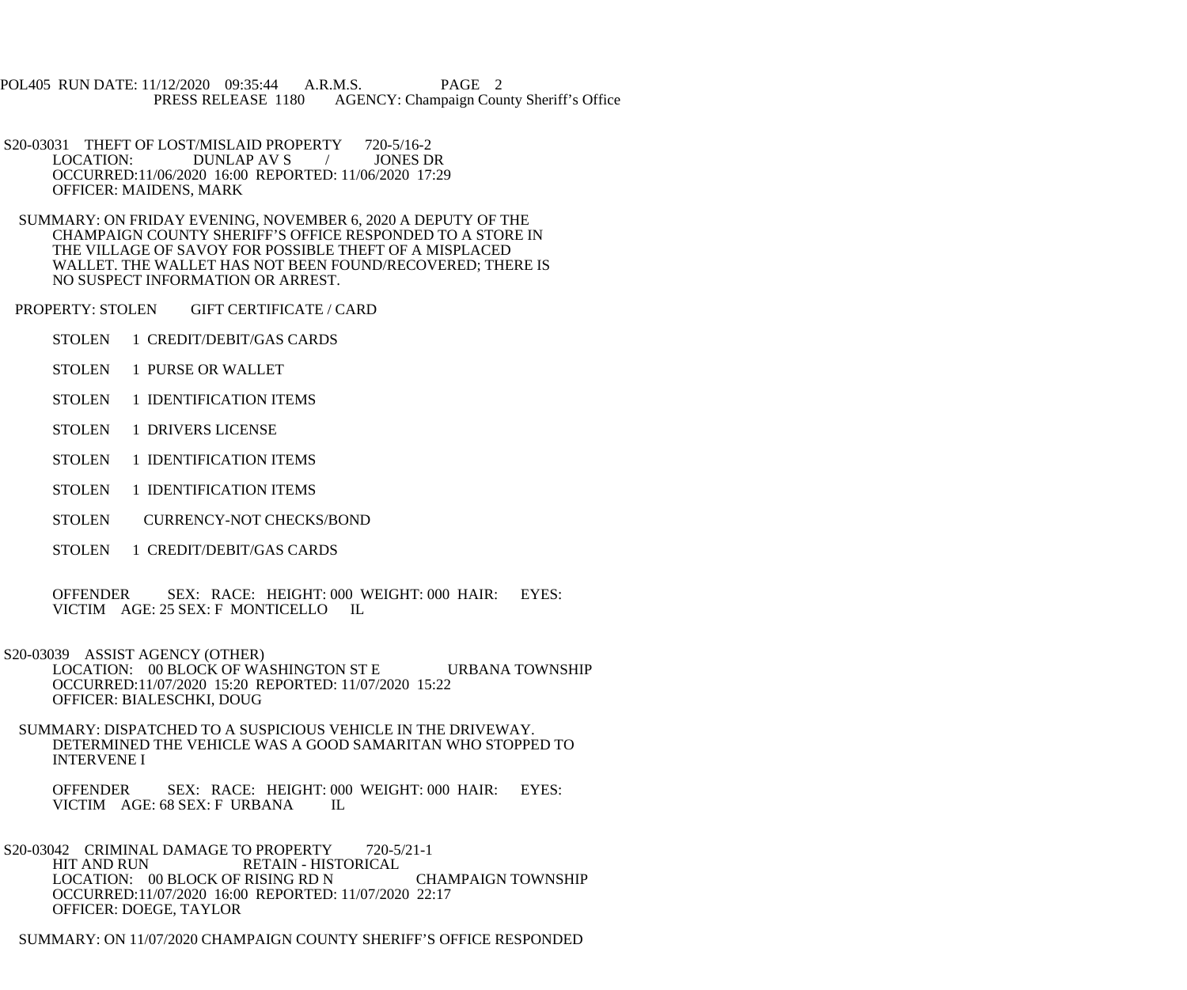POL405 RUN DATE: 11/12/2020 09:35:44 A.R.M.S. PAGE 2 PRESS RELEASE 1180 AGENCY: Champaign County Sheriff's Office

S20-03031 THEFT OF LOST/MISLAID PROPERTY 720-5/16-2<br>LOCATION: DUNLAP AV S / JONES DR DUNLAP AV S / OCCURRED:11/06/2020 16:00 REPORTED: 11/06/2020 17:29 OFFICER: MAIDENS, MARK

 SUMMARY: ON FRIDAY EVENING, NOVEMBER 6, 2020 A DEPUTY OF THE CHAMPAIGN COUNTY SHERIFF'S OFFICE RESPONDED TO A STORE IN THE VILLAGE OF SAVOY FOR POSSIBLE THEFT OF A MISPLACED WALLET. THE WALLET HAS NOT BEEN FOUND/RECOVERED; THERE IS NO SUSPECT INFORMATION OR ARREST.

PROPERTY: STOLEN GIFT CERTIFICATE / CARD

- STOLEN 1 CREDIT/DEBIT/GAS CARDS
- STOLEN 1 PURSE OR WALLET
- STOLEN 1 IDENTIFICATION ITEMS
- STOLEN 1 DRIVERS LICENSE
- STOLEN 1 IDENTIFICATION ITEMS
- STOLEN 1 IDENTIFICATION ITEMS
- STOLEN CURRENCY-NOT CHECKS/BOND
- STOLEN 1 CREDIT/DEBIT/GAS CARDS

 OFFENDER SEX: RACE: HEIGHT: 000 WEIGHT: 000 HAIR: EYES: VICTIM AGE: 25 SEX: F MONTICELLO IL

 S20-03039 ASSIST AGENCY (OTHER) LOCATION: 00 BLOCK OF WASHINGTON ST E URBANA TOWNSHIP OCCURRED:11/07/2020 15:20 REPORTED: 11/07/2020 15:22 OFFICER: BIALESCHKI, DOUG

 SUMMARY: DISPATCHED TO A SUSPICIOUS VEHICLE IN THE DRIVEWAY. DETERMINED THE VEHICLE WAS A GOOD SAMARITAN WHO STOPPED TO INTERVENE I

 OFFENDER SEX: RACE: HEIGHT: 000 WEIGHT: 000 HAIR: EYES: VICTIM AGE: 68 SEX: F URBANA IL

S20-03042 CRIMINAL DAMAGE TO PROPERTY 720-5/21-1<br>HIT AND RUN RETAIN - HISTORICAL RETAIN - HISTORICAL LOCATION: 00 BLOCK OF RISING RD N CHAMPAIGN TOWNSHIP OCCURRED:11/07/2020 16:00 REPORTED: 11/07/2020 22:17 OFFICER: DOEGE, TAYLOR

SUMMARY: ON 11/07/2020 CHAMPAIGN COUNTY SHERIFF'S OFFICE RESPONDED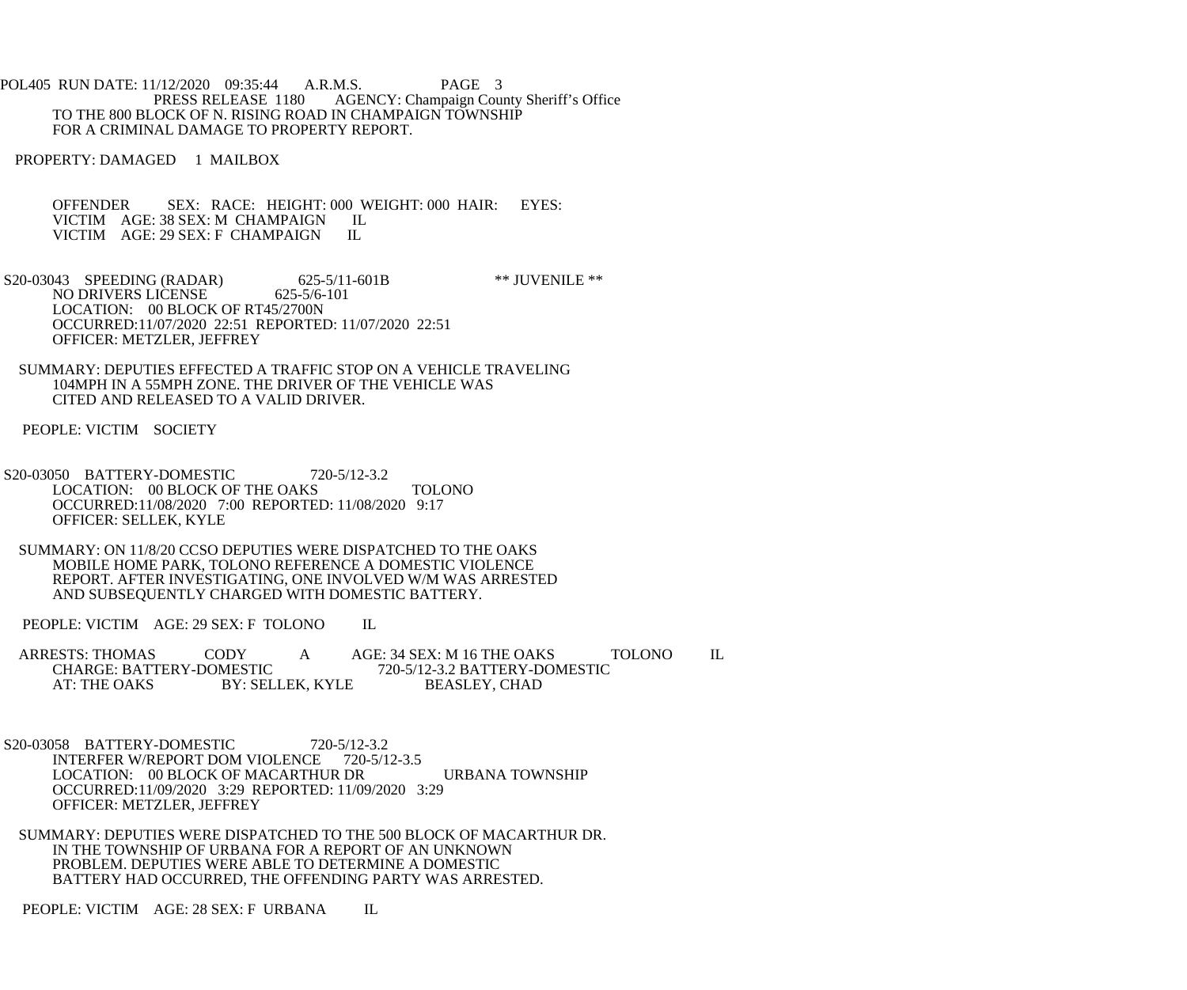POL405 RUN DATE: 11/12/2020 09:35:44 A.R.M.S. PAGE 3<br>PRESS RELEASE 1180 AGENCY: Champaign Cou AGENCY: Champaign County Sheriff's Office TO THE 800 BLOCK OF N. RISING ROAD IN CHAMPAIGN TOWNSHIP FOR A CRIMINAL DAMAGE TO PROPERTY REPORT.

PROPERTY: DAMAGED 1 MAILBOX

OFFENDER SEX: RACE: HEIGHT: 000 WEIGHT: 000 HAIR: EYES: VICTIM AGE: 38 SEX: M CHAMPAIGN IL VICTIM AGE: 38 SEX: M CHAMPAIGN IL<br>VICTIM AGE: 29 SEX: F CHAMPAIGN IL VICTIM AGE: 29 SEX: F CHAMPAIGN

S20-03043 SPEEDING (RADAR) 625-5/11-601B \*\* JUVENILE \*\*<br>NO DRIVERS LICENSE 625-5/6-101 NO DRIVERS LICENSE LOCATION: 00 BLOCK OF RT45/2700N OCCURRED:11/07/2020 22:51 REPORTED: 11/07/2020 22:51 OFFICER: METZLER, JEFFREY

 SUMMARY: DEPUTIES EFFECTED A TRAFFIC STOP ON A VEHICLE TRAVELING 104MPH IN A 55MPH ZONE. THE DRIVER OF THE VEHICLE WAS CITED AND RELEASED TO A VALID DRIVER.

PEOPLE: VICTIM SOCIETY

 S20-03050 BATTERY-DOMESTIC 720-5/12-3.2 LOCATION: 00 BLOCK OF THE OAKS TOLONO OCCURRED:11/08/2020 7:00 REPORTED: 11/08/2020 9:17 OFFICER: SELLEK, KYLE

 SUMMARY: ON 11/8/20 CCSO DEPUTIES WERE DISPATCHED TO THE OAKS MOBILE HOME PARK, TOLONO REFERENCE A DOMESTIC VIOLENCE REPORT. AFTER INVESTIGATING, ONE INVOLVED W/M WAS ARRESTED AND SUBSEQUENTLY CHARGED WITH DOMESTIC BATTERY.

PEOPLE: VICTIM AGE: 29 SEX: F TOLONO IL

ARRESTS: THOMAS CODY A AGE: 34 SEX: M 16 THE OAKS TOLONO IL<br>CHARGE: BATTERY-DOMESTIC 720-5/12-3.2 BATTERY-DOMESTIC CHARGE: BATTERY-DOMESTIC 720-5/12-3.2 BATTERY-DOMESTIC<br>AT: THE OAKS BY: SELLEK, KYLE BEASLEY, CHAD BY: SELLEK, KYLE

 S20-03058 BATTERY-DOMESTIC 720-5/12-3.2 INTERFER W/REPORT DOM VIOLENCE 720-5/12-3.5 LOCATION: 00 BLOCK OF MACARTHUR DR URBANA TOWNSHIP OCCURRED:11/09/2020 3:29 REPORTED: 11/09/2020 3:29 OFFICER: METZLER, JEFFREY

 SUMMARY: DEPUTIES WERE DISPATCHED TO THE 500 BLOCK OF MACARTHUR DR. IN THE TOWNSHIP OF URBANA FOR A REPORT OF AN UNKNOWN PROBLEM. DEPUTIES WERE ABLE TO DETERMINE A DOMESTIC BATTERY HAD OCCURRED, THE OFFENDING PARTY WAS ARRESTED.

PEOPLE: VICTIM AGE: 28 SEX: F URBANA IL